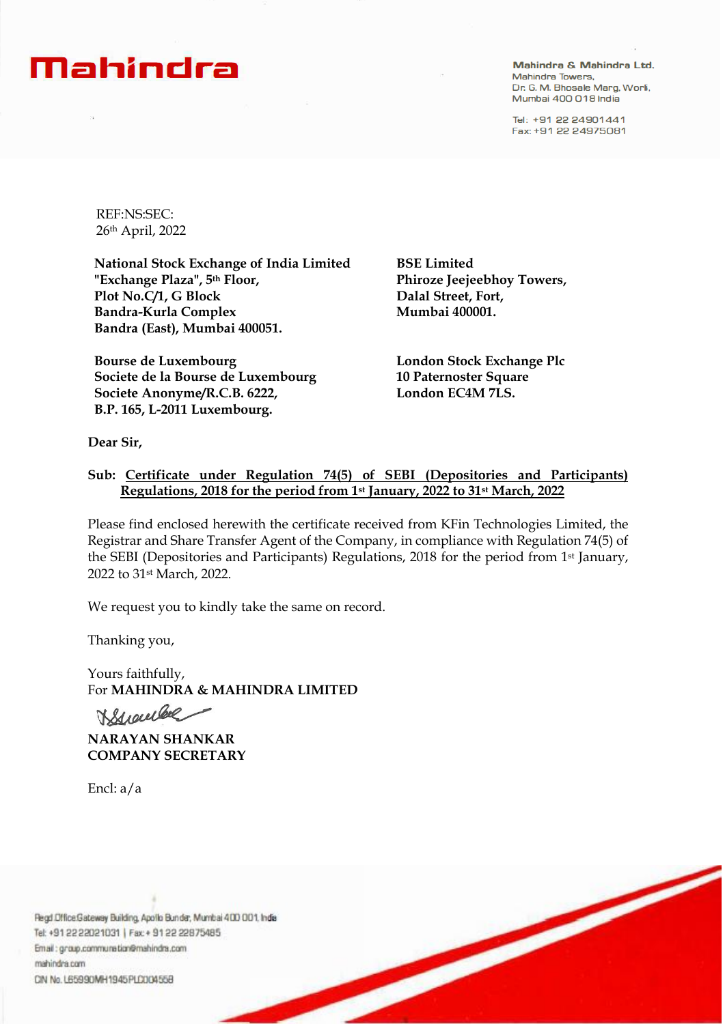## Mahindra

Mahindra & Mahindra Ltd. Mahindra Towers. Dr. G. M. Bhosale Marg, Worli, Mumbai 400 018 India

Tel: +91 22 24901441 Fax: +91 22 24975081

REF:NS:SEC: 26th April, 2022

**National Stock Exchange of India Limited "Exchange Plaza", 5th Floor, Plot No.C/1, G Block Bandra-Kurla Complex Bandra (East), Mumbai 400051.**

**Bourse de Luxembourg Societe de la Bourse de Luxembourg Societe Anonyme/R.C.B. 6222, B.P. 165, L-2011 Luxembourg.**

**BSE Limited Phiroze Jeejeebhoy Towers, Dalal Street, Fort, Mumbai 400001.**

**London Stock Exchange Plc 10 Paternoster Square London EC4M 7LS.**

**Dear Sir,**

## **Sub: Certificate under Regulation 74(5) of SEBI (Depositories and Participants) Regulations, 2018 for the period from 1st January, 2022 to 31st March, 2022**

Please find enclosed herewith the certificate received from KFin Technologies Limited, the Registrar and Share Transfer Agent of the Company, in compliance with Regulation 74(5) of the SEBI (Depositories and Participants) Regulations, 2018 for the period from 1st January, 2022 to 31st March, 2022.

We request you to kindly take the same on record.

Thanking you,

Yours faithfully, For **MAHINDRA & MAHINDRA LIMITED**

Kroubel

**NARAYAN SHANKAR COMPANY SECRETARY**

Encl: a/a

Regd Office Gateway Building, Apollo Bunder, Mumbai 400 001, India Tel: +91 22 22021031 | Fax: + 91 22 22875485 Email: group.communetion@mahindra.com mahindra.com CIN No. L65990MH1945PLC004558